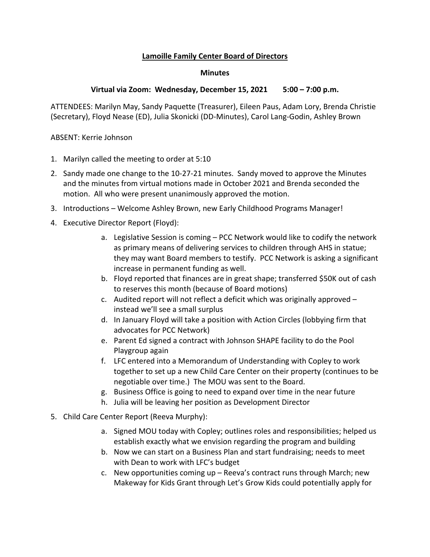## **Lamoille Family Center Board of Directors**

## **Minutes**

## **Virtual via Zoom: Wednesday, December 15, 2021 5:00 – 7:00 p.m.**

ATTENDEES: Marilyn May, Sandy Paquette (Treasurer), Eileen Paus, Adam Lory, Brenda Christie (Secretary), Floyd Nease (ED), Julia Skonicki (DD-Minutes), Carol Lang-Godin, Ashley Brown

ABSENT: Kerrie Johnson

- 1. Marilyn called the meeting to order at 5:10
- 2. Sandy made one change to the 10-27-21 minutes. Sandy moved to approve the Minutes and the minutes from virtual motions made in October 2021 and Brenda seconded the motion. All who were present unanimously approved the motion.
- 3. Introductions Welcome Ashley Brown, new Early Childhood Programs Manager!
- 4. Executive Director Report (Floyd):
	- a. Legislative Session is coming PCC Network would like to codify the network as primary means of delivering services to children through AHS in statue; they may want Board members to testify. PCC Network is asking a significant increase in permanent funding as well.
	- b. Floyd reported that finances are in great shape; transferred \$50K out of cash to reserves this month (because of Board motions)
	- c. Audited report will not reflect a deficit which was originally approved instead we'll see a small surplus
	- d. In January Floyd will take a position with Action Circles (lobbying firm that advocates for PCC Network)
	- e. Parent Ed signed a contract with Johnson SHAPE facility to do the Pool Playgroup again
	- f. LFC entered into a Memorandum of Understanding with Copley to work together to set up a new Child Care Center on their property (continues to be negotiable over time.) The MOU was sent to the Board.
	- g. Business Office is going to need to expand over time in the near future
	- h. Julia will be leaving her position as Development Director
- 5. Child Care Center Report (Reeva Murphy):
	- a. Signed MOU today with Copley; outlines roles and responsibilities; helped us establish exactly what we envision regarding the program and building
	- b. Now we can start on a Business Plan and start fundraising; needs to meet with Dean to work with LFC's budget
	- c. New opportunities coming up Reeva's contract runs through March; new Makeway for Kids Grant through Let's Grow Kids could potentially apply for